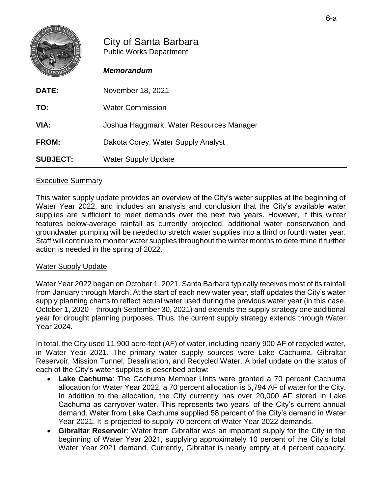

## City of Santa Barbara Public Works Department

## *Memorandum*

| <b>DATE:</b>    | November 18, 2021                        |
|-----------------|------------------------------------------|
| TO:             | <b>Water Commission</b>                  |
| VIA:            | Joshua Haggmark, Water Resources Manager |
| <b>FROM:</b>    | Dakota Corey, Water Supply Analyst       |
| <b>SUBJECT:</b> | <b>Water Supply Update</b>               |

## Executive Summary

This water supply update provides an overview of the City's water supplies at the beginning of Water Year 2022, and includes an analysis and conclusion that the City's available water supplies are sufficient to meet demands over the next two years. However, if this winter features below-average rainfall as currently projected, additional water conservation and groundwater pumping will be needed to stretch water supplies into a third or fourth water year. Staff will continue to monitor water supplies throughout the winter months to determine if further action is needed in the spring of 2022.

## Water Supply Update

Water Year 2022 began on October 1, 2021. Santa Barbara typically receives most of its rainfall from January through March. At the start of each new water year, staff updates the City's water supply planning charts to reflect actual water used during the previous water year (in this case, October 1, 2020 – through September 30, 2021) and extends the supply strategy one additional year for drought planning purposes. Thus, the current supply strategy extends through Water Year 2024.

In total, the City used 11,900 acre-feet (AF) of water, including nearly 900 AF of recycled water, in Water Year 2021. The primary water supply sources were Lake Cachuma, Gibraltar Reservoir, Mission Tunnel, Desalination, and Recycled Water. A brief update on the status of each of the City's water supplies is described below:

- **Lake Cachuma**: The Cachuma Member Units were granted a 70 percent Cachuma allocation for Water Year 2022, a 70 percent allocation is 5,794 AF of water for the City. In addition to the allocation, the City currently has over 20,000 AF stored in Lake Cachuma as carryover water. This represents two years' of the City's current annual demand. Water from Lake Cachuma supplied 58 percent of the City's demand in Water Year 2021. It is projected to supply 70 percent of Water Year 2022 demands.
- **Gibraltar Reservoir**: Water from Gibraltar was an important supply for the City in the beginning of Water Year 2021, supplying approximately 10 percent of the City's total Water Year 2021 demand. Currently, Gibraltar is nearly empty at 4 percent capacity.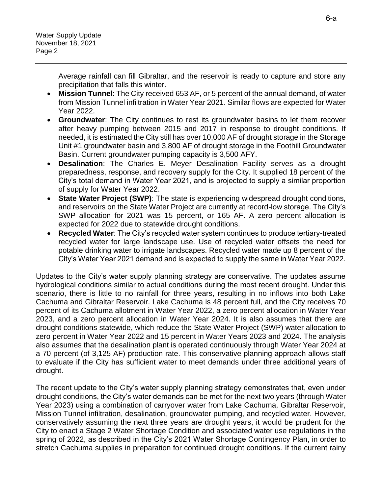Water Supply Update November 18, 2021 Page 2

> Average rainfall can fill Gibraltar, and the reservoir is ready to capture and store any precipitation that falls this winter.

- **Mission Tunnel**: The City received 653 AF, or 5 percent of the annual demand, of water from Mission Tunnel infiltration in Water Year 2021. Similar flows are expected for Water Year 2022.
- **Groundwater**: The City continues to rest its groundwater basins to let them recover after heavy pumping between 2015 and 2017 in response to drought conditions. If needed, it is estimated the City still has over 10,000 AF of drought storage in the Storage Unit #1 groundwater basin and 3,800 AF of drought storage in the Foothill Groundwater Basin. Current groundwater pumping capacity is 3,500 AFY.
- **Desalination**: The Charles E. Meyer Desalination Facility serves as a drought preparedness, response, and recovery supply for the City. It supplied 18 percent of the City's total demand in Water Year 2021, and is projected to supply a similar proportion of supply for Water Year 2022.
- **State Water Project (SWP)**: The state is experiencing widespread drought conditions, and reservoirs on the State Water Project are currently at record-low storage. The City's SWP allocation for 2021 was 15 percent, or 165 AF. A zero percent allocation is expected for 2022 due to statewide drought conditions.
- **Recycled Water**: The City's recycled water system continues to produce tertiary-treated recycled water for large landscape use. Use of recycled water offsets the need for potable drinking water to irrigate landscapes. Recycled water made up 8 percent of the City's Water Year 2021 demand and is expected to supply the same in Water Year 2022.

Updates to the City's water supply planning strategy are conservative. The updates assume hydrological conditions similar to actual conditions during the most recent drought. Under this scenario, there is little to no rainfall for three years, resulting in no inflows into both Lake Cachuma and Gibraltar Reservoir. Lake Cachuma is 48 percent full, and the City receives 70 percent of its Cachuma allotment in Water Year 2022, a zero percent allocation in Water Year 2023, and a zero percent allocation in Water Year 2024. It is also assumes that there are drought conditions statewide, which reduce the State Water Project (SWP) water allocation to zero percent in Water Year 2022 and 15 percent in Water Years 2023 and 2024. The analysis also assumes that the desalination plant is operated continuously through Water Year 2024 at a 70 percent (of 3,125 AF) production rate. This conservative planning approach allows staff to evaluate if the City has sufficient water to meet demands under three additional years of drought.

The recent update to the City's water supply planning strategy demonstrates that, even under drought conditions, the City's water demands can be met for the next two years (through Water Year 2023) using a combination of carryover water from Lake Cachuma, Gibraltar Reservoir, Mission Tunnel infiltration, desalination, groundwater pumping, and recycled water. However, conservatively assuming the next three years are drought years, it would be prudent for the City to enact a Stage 2 Water Shortage Condition and associated water use regulations in the spring of 2022, as described in the City's 2021 Water Shortage Contingency Plan, in order to stretch Cachuma supplies in preparation for continued drought conditions. If the current rainy